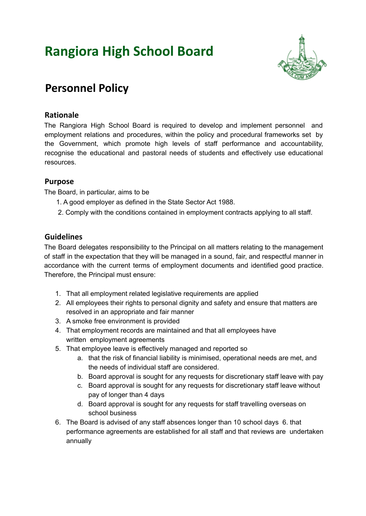# **Rangiora High School Board**



## **Personnel Policy**

#### **Rationale**

The Rangiora High School Board is required to develop and implement personnel and employment relations and procedures, within the policy and procedural frameworks set by the Government, which promote high levels of staff performance and accountability, recognise the educational and pastoral needs of students and effectively use educational resources.

#### **Purpose**

The Board, in particular, aims to be

- 1. A good employer as defined in the State Sector Act 1988.
- 2. Comply with the conditions contained in employment contracts applying to all staff.

#### **Guidelines**

The Board delegates responsibility to the Principal on all matters relating to the management of staff in the expectation that they will be managed in a sound, fair, and respectful manner in accordance with the current terms of employment documents and identified good practice. Therefore, the Principal must ensure:

- 1. That all employment related legislative requirements are applied
- 2. All employees their rights to personal dignity and safety and ensure that matters are resolved in an appropriate and fair manner
- 3. A smoke free environment is provided
- 4. That employment records are maintained and that all employees have written employment agreements
- 5. That employee leave is effectively managed and reported so
	- a. that the risk of financial liability is minimised, operational needs are met, and the needs of individual staff are considered.
	- b. Board approval is sought for any requests for discretionary staff leave with pay
	- c. Board approval is sought for any requests for discretionary staff leave without pay of longer than 4 days
	- d. Board approval is sought for any requests for staff travelling overseas on school business
- 6. The Board is advised of any staff absences longer than 10 school days 6. that performance agreements are established for all staff and that reviews are undertaken annually